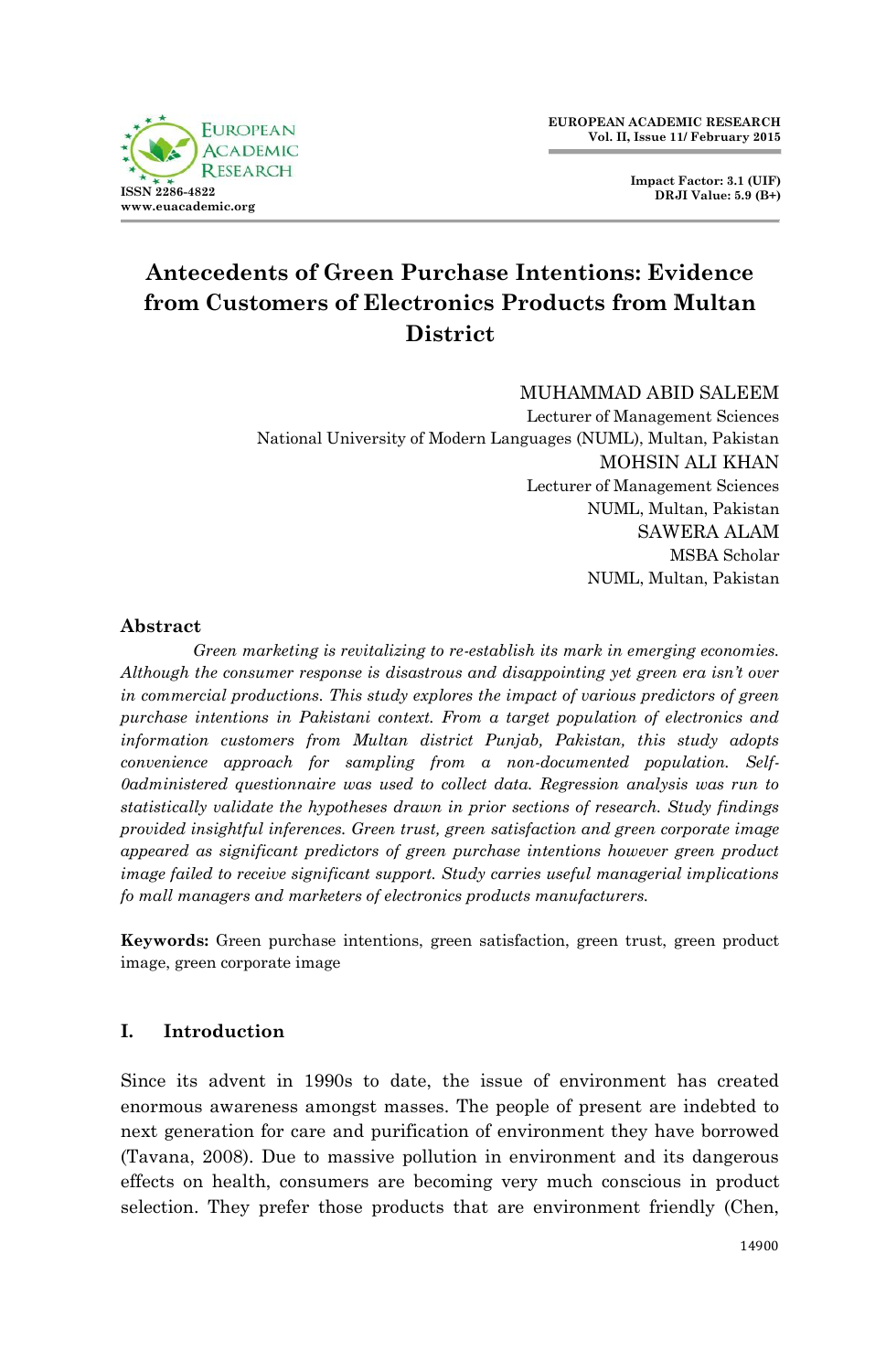

**Impact Factor: 3.1 (UIF) DRJI Value: 5.9 (B+)**

# **Antecedents of Green Purchase Intentions: Evidence from Customers of Electronics Products from Multan District**

#### MUHAMMAD ABID SALEEM

Lecturer of Management Sciences National University of Modern Languages (NUML), Multan, Pakistan MOHSIN ALI KHAN Lecturer of Management Sciences NUML, Multan, Pakistan SAWERA ALAM MSBA Scholar NUML, Multan, Pakistan

#### **Abstract**

*Green marketing is revitalizing to re-establish its mark in emerging economies. Although the consumer response is disastrous and disappointing yet green era isn't over in commercial productions. This study explores the impact of various predictors of green purchase intentions in Pakistani context. From a target population of electronics and information customers from Multan district Punjab, Pakistan, this study adopts convenience approach for sampling from a non-documented population. Self-0administered questionnaire was used to collect data. Regression analysis was run to statistically validate the hypotheses drawn in prior sections of research. Study findings provided insightful inferences. Green trust, green satisfaction and green corporate image appeared as significant predictors of green purchase intentions however green product image failed to receive significant support. Study carries useful managerial implications fo mall managers and marketers of electronics products manufacturers.* 

**Keywords:** Green purchase intentions, green satisfaction, green trust, green product image, green corporate image

## **I. Introduction**

Since its advent in 1990s to date, the issue of environment has created enormous awareness amongst masses. The people of present are indebted to next generation for care and purification of environment they have borrowed (Tavana, 2008). Due to massive pollution in environment and its dangerous effects on health, consumers are becoming very much conscious in product selection. They prefer those products that are environment friendly (Chen,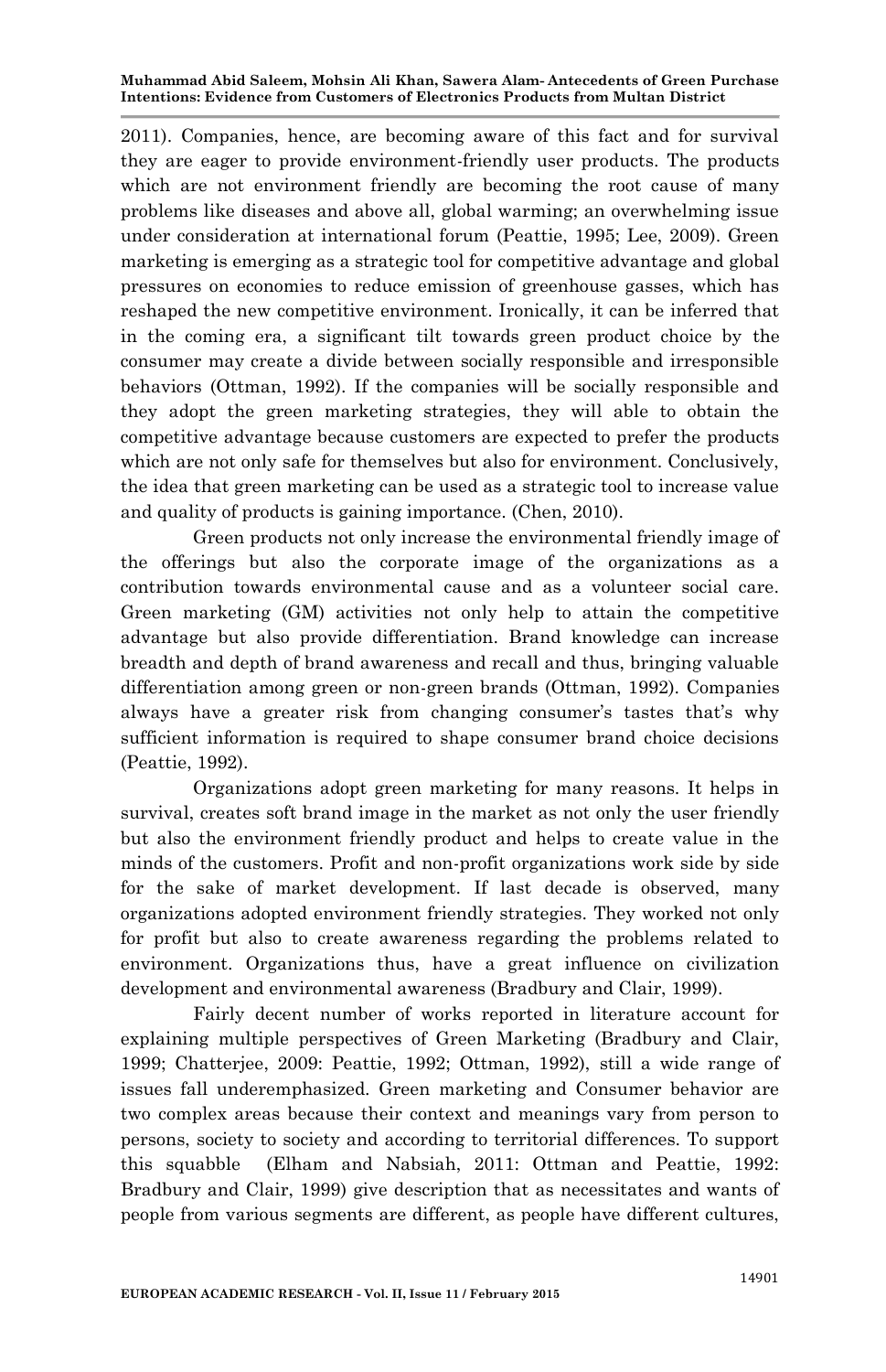2011). Companies, hence, are becoming aware of this fact and for survival they are eager to provide environment-friendly user products. The products which are not environment friendly are becoming the root cause of many problems like diseases and above all, global warming; an overwhelming issue under consideration at international forum (Peattie, 1995; Lee, 2009). Green marketing is emerging as a strategic tool for competitive advantage and global pressures on economies to reduce emission of greenhouse gasses, which has reshaped the new competitive environment. Ironically, it can be inferred that in the coming era, a significant tilt towards green product choice by the consumer may create a divide between socially responsible and irresponsible behaviors (Ottman, 1992). If the companies will be socially responsible and they adopt the green marketing strategies, they will able to obtain the competitive advantage because customers are expected to prefer the products which are not only safe for themselves but also for environment. Conclusively, the idea that green marketing can be used as a strategic tool to increase value and quality of products is gaining importance. (Chen, 2010).

Green products not only increase the environmental friendly image of the offerings but also the corporate image of the organizations as a contribution towards environmental cause and as a volunteer social care. Green marketing (GM) activities not only help to attain the competitive advantage but also provide differentiation. Brand knowledge can increase breadth and depth of brand awareness and recall and thus, bringing valuable differentiation among green or non-green brands (Ottman, 1992). Companies always have a greater risk from changing consumer's tastes that's why sufficient information is required to shape consumer brand choice decisions (Peattie, 1992).

Organizations adopt green marketing for many reasons. It helps in survival, creates soft brand image in the market as not only the user friendly but also the environment friendly product and helps to create value in the minds of the customers. Profit and non-profit organizations work side by side for the sake of market development. If last decade is observed, many organizations adopted environment friendly strategies. They worked not only for profit but also to create awareness regarding the problems related to environment. Organizations thus, have a great influence on civilization development and environmental awareness (Bradbury and Clair, 1999).

Fairly decent number of works reported in literature account for explaining multiple perspectives of Green Marketing (Bradbury and Clair, 1999; Chatterjee, 2009: Peattie, 1992; Ottman, 1992), still a wide range of issues fall underemphasized. Green marketing and Consumer behavior are two complex areas because their context and meanings vary from person to persons, society to society and according to territorial differences. To support this squabble (Elham and Nabsiah, 2011: Ottman and Peattie, 1992: Bradbury and Clair, 1999) give description that as necessitates and wants of people from various segments are different, as people have different cultures,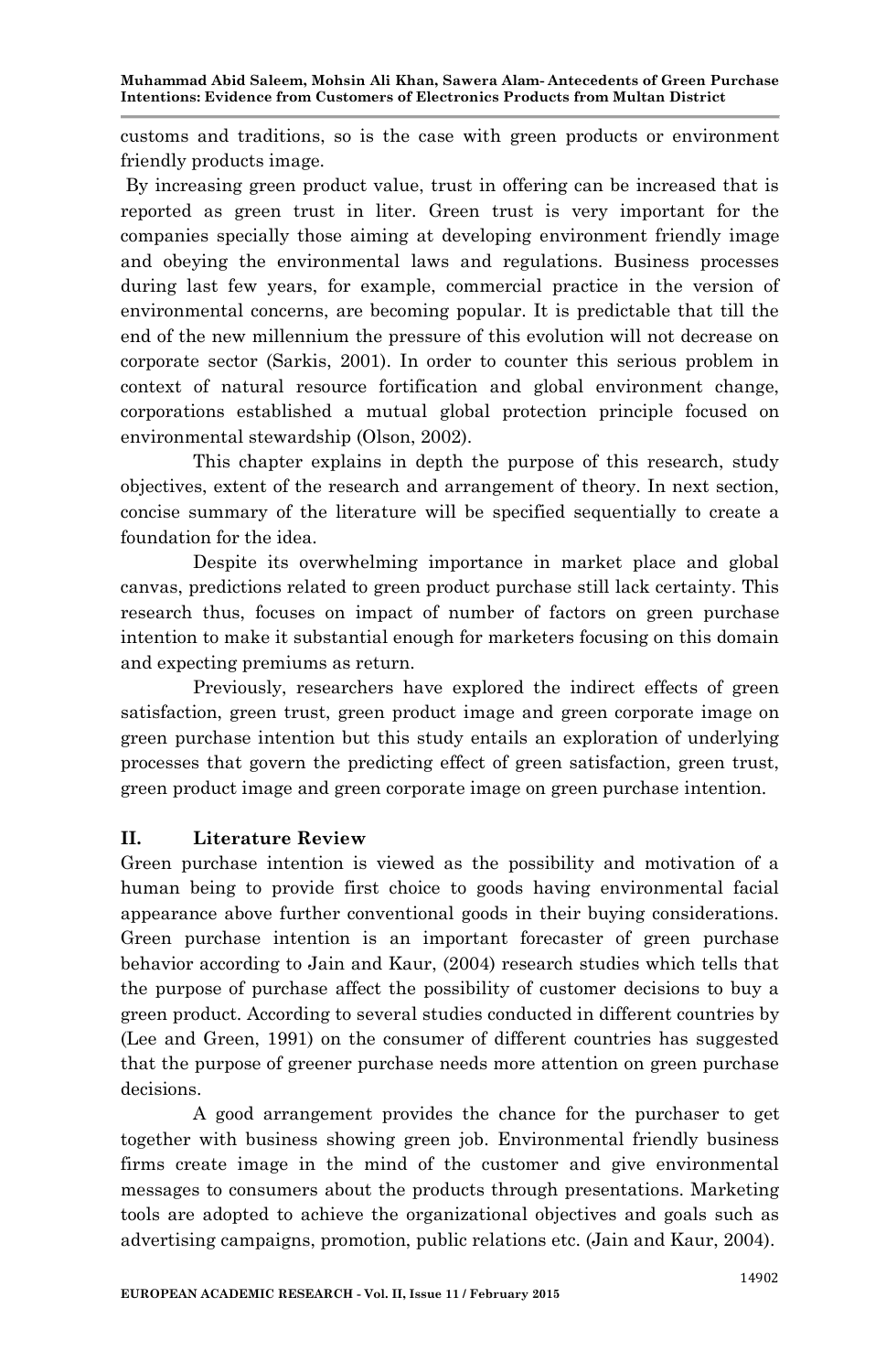customs and traditions, so is the case with green products or environment friendly products image.

By increasing green product value, trust in offering can be increased that is reported as green trust in liter. Green trust is very important for the companies specially those aiming at developing environment friendly image and obeying the environmental laws and regulations. Business processes during last few years, for example, commercial practice in the version of environmental concerns, are becoming popular. It is predictable that till the end of the new millennium the pressure of this evolution will not decrease on corporate sector (Sarkis, 2001). In order to counter this serious problem in context of natural resource fortification and global environment change, corporations established a mutual global protection principle focused on environmental stewardship (Olson, 2002).

This chapter explains in depth the purpose of this research, study objectives, extent of the research and arrangement of theory. In next section, concise summary of the literature will be specified sequentially to create a foundation for the idea.

Despite its overwhelming importance in market place and global canvas, predictions related to green product purchase still lack certainty. This research thus, focuses on impact of number of factors on green purchase intention to make it substantial enough for marketers focusing on this domain and expecting premiums as return.

Previously, researchers have explored the indirect effects of green satisfaction, green trust, green product image and green corporate image on green purchase intention but this study entails an exploration of underlying processes that govern the predicting effect of green satisfaction, green trust, green product image and green corporate image on green purchase intention.

## **II. Literature Review**

Green purchase intention is viewed as the possibility and motivation of a human being to provide first choice to goods having environmental facial appearance above further conventional goods in their buying considerations. Green purchase intention is an important forecaster of green purchase behavior according to Jain and Kaur, (2004) research studies which tells that the purpose of purchase affect the possibility of customer decisions to buy a green product. According to several studies conducted in different countries by (Lee and Green, 1991) on the consumer of different countries has suggested that the purpose of greener purchase needs more attention on green purchase decisions.

A good arrangement provides the chance for the purchaser to get together with business showing green job. Environmental friendly business firms create image in the mind of the customer and give environmental messages to consumers about the products through presentations. Marketing tools are adopted to achieve the organizational objectives and goals such as advertising campaigns, promotion, public relations etc. (Jain and Kaur, 2004).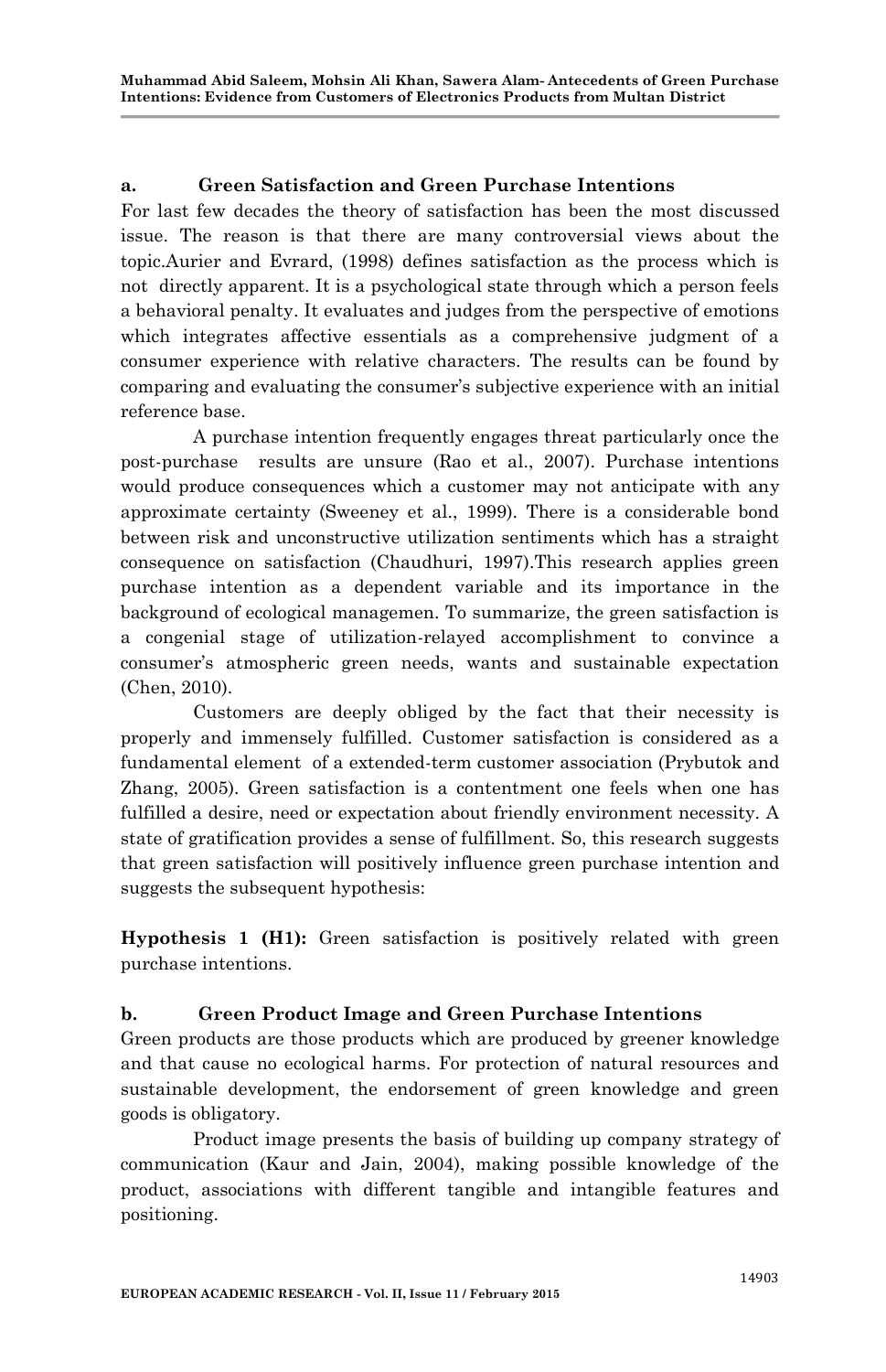## **a. Green Satisfaction and Green Purchase Intentions**

For last few decades the theory of satisfaction has been the most discussed issue. The reason is that there are many controversial views about the topic.Aurier and Evrard, (1998) defines satisfaction as the process which is not directly apparent. It is a psychological state through which a person feels a behavioral penalty. It evaluates and judges from the perspective of emotions which integrates affective essentials as a comprehensive judgment of a consumer experience with relative characters. The results can be found by comparing and evaluating the consumer"s subjective experience with an initial reference base.

A purchase intention frequently engages threat particularly once the post-purchase results are unsure (Rao et al., 2007). Purchase intentions would produce consequences which a customer may not anticipate with any approximate certainty (Sweeney et al., 1999). There is a considerable bond between risk and unconstructive utilization sentiments which has a straight consequence on satisfaction (Chaudhuri, 1997).This research applies green purchase intention as a dependent variable and its importance in the background of ecological managemen. To summarize, the green satisfaction is a congenial stage of utilization-relayed accomplishment to convince a consumer"s atmospheric green needs, wants and sustainable expectation (Chen, 2010).

Customers are deeply obliged by the fact that their necessity is properly and immensely fulfilled. Customer satisfaction is considered as a fundamental element of a extended-term customer association (Prybutok and Zhang, 2005). Green satisfaction is a contentment one feels when one has fulfilled a desire, need or expectation about friendly environment necessity. A state of gratification provides a sense of fulfillment. So, this research suggests that green satisfaction will positively influence green purchase intention and suggests the subsequent hypothesis:

**Hypothesis 1 (H1):** Green satisfaction is positively related with green purchase intentions.

## **b. Green Product Image and Green Purchase Intentions**

Green products are those products which are produced by greener knowledge and that cause no ecological harms. For protection of natural resources and sustainable development, the endorsement of green knowledge and green goods is obligatory.

Product image presents the basis of building up company strategy of communication (Kaur and Jain, 2004), making possible knowledge of the product, associations with different tangible and intangible features and positioning.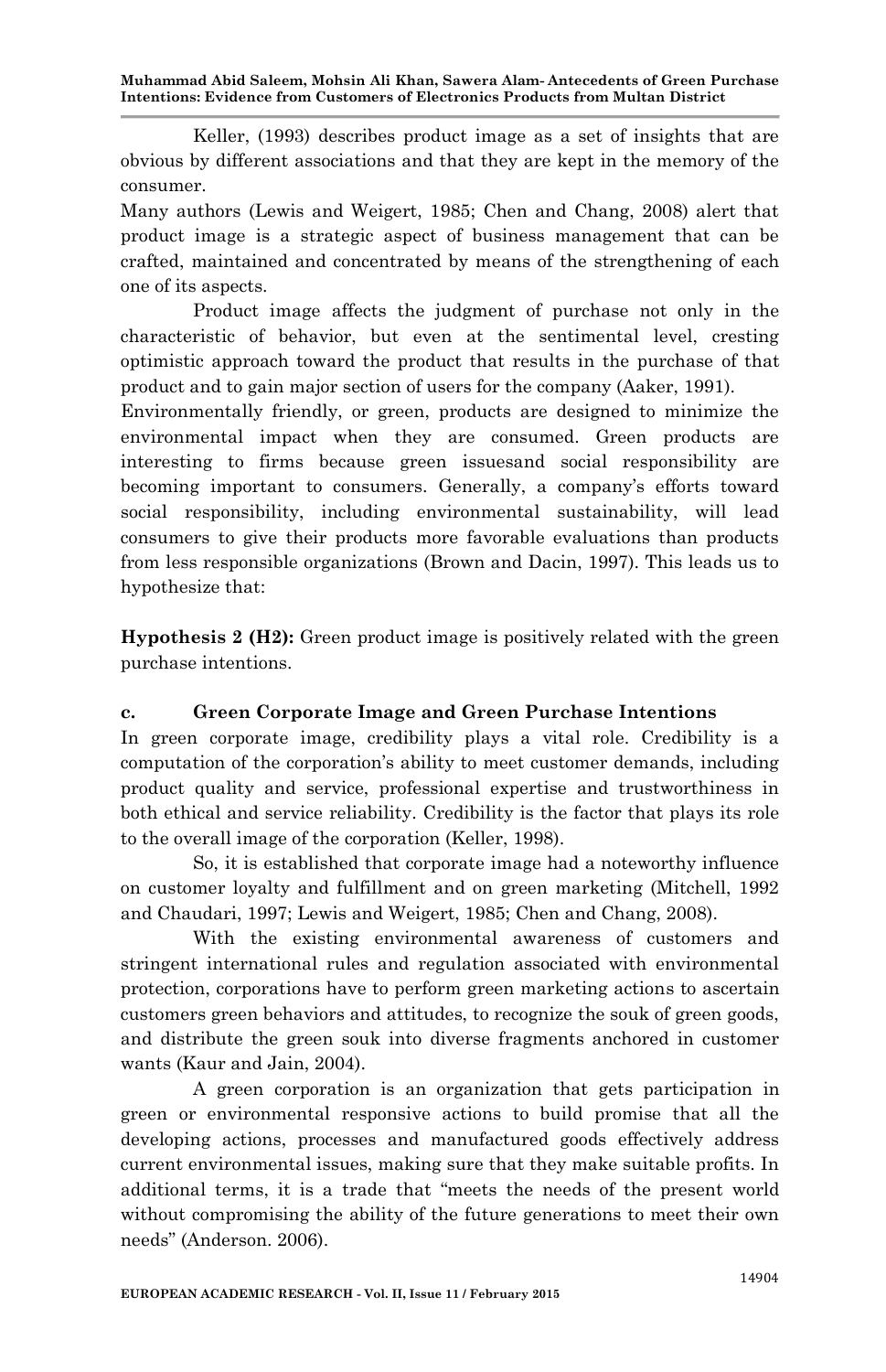Keller, (1993) describes product image as a set of insights that are obvious by different associations and that they are kept in the memory of the consumer.

Many authors (Lewis and Weigert, 1985; Chen and Chang, 2008) alert that product image is a strategic aspect of business management that can be crafted, maintained and concentrated by means of the strengthening of each one of its aspects.

Product image affects the judgment of purchase not only in the characteristic of behavior, but even at the sentimental level, cresting optimistic approach toward the product that results in the purchase of that product and to gain major section of users for the company (Aaker, 1991).

Environmentally friendly, or green, products are designed to minimize the environmental impact when they are consumed. Green products are interesting to firms because green issuesand social responsibility are becoming important to consumers. Generally, a company's efforts toward social responsibility, including environmental sustainability, will lead consumers to give their products more favorable evaluations than products from less responsible organizations (Brown and Dacin, 1997). This leads us to hypothesize that:

**Hypothesis 2 (H2):** Green product image is positively related with the green purchase intentions.

## **c. Green Corporate Image and Green Purchase Intentions**

In green corporate image, credibility plays a vital role. Credibility is a computation of the corporation"s ability to meet customer demands, including product quality and service, professional expertise and trustworthiness in both ethical and service reliability. Credibility is the factor that plays its role to the overall image of the corporation (Keller, 1998).

So, it is established that corporate image had a noteworthy influence on customer loyalty and fulfillment and on green marketing (Mitchell, 1992 and Chaudari, 1997; Lewis and Weigert, 1985; Chen and Chang, 2008).

With the existing environmental awareness of customers and stringent international rules and regulation associated with environmental protection, corporations have to perform green marketing actions to ascertain customers green behaviors and attitudes, to recognize the souk of green goods, and distribute the green souk into diverse fragments anchored in customer wants (Kaur and Jain, 2004).

A green corporation is an organization that gets participation in green or environmental responsive actions to build promise that all the developing actions, processes and manufactured goods effectively address current environmental issues, making sure that they make suitable profits. In additional terms, it is a trade that "meets the needs of the present world without compromising the ability of the future generations to meet their own needs" (Anderson. 2006).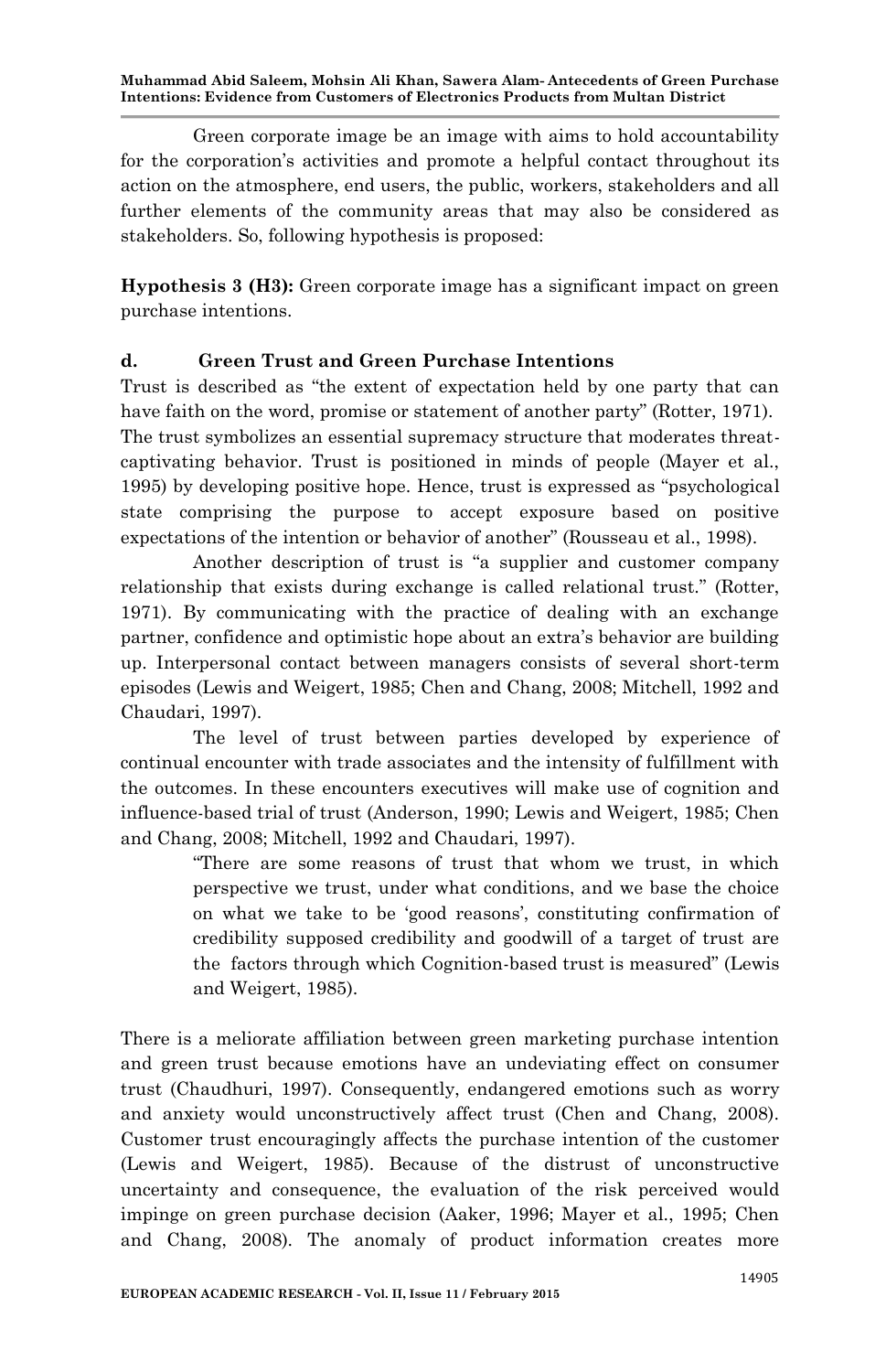Green corporate image be an image with aims to hold accountability for the corporation"s activities and promote a helpful contact throughout its action on the atmosphere, end users, the public, workers, stakeholders and all further elements of the community areas that may also be considered as stakeholders. So, following hypothesis is proposed:

**Hypothesis 3 (H3):** Green corporate image has a significant impact on green purchase intentions.

## **d. Green Trust and Green Purchase Intentions**

Trust is described as "the extent of expectation held by one party that can have faith on the word, promise or statement of another party" (Rotter, 1971). The trust symbolizes an essential supremacy structure that moderates threatcaptivating behavior. Trust is positioned in minds of people (Mayer et al., 1995) by developing positive hope. Hence, trust is expressed as "psychological state comprising the purpose to accept exposure based on positive expectations of the intention or behavior of another" (Rousseau et al., 1998).

Another description of trust is "a supplier and customer company relationship that exists during exchange is called relational trust." (Rotter, 1971). By communicating with the practice of dealing with an exchange partner, confidence and optimistic hope about an extra's behavior are building up. Interpersonal contact between managers consists of several short-term episodes (Lewis and Weigert, 1985; Chen and Chang, 2008; Mitchell, 1992 and Chaudari, 1997).

The level of trust between parties developed by experience of continual encounter with trade associates and the intensity of fulfillment with the outcomes. In these encounters executives will make use of cognition and influence-based trial of trust (Anderson, 1990; Lewis and Weigert, 1985; Chen and Chang, 2008; Mitchell, 1992 and Chaudari, 1997).

> "There are some reasons of trust that whom we trust, in which perspective we trust, under what conditions, and we base the choice on what we take to be 'good reasons', constituting confirmation of credibility supposed credibility and goodwill of a target of trust are the factors through which Cognition-based trust is measured" (Lewis and Weigert, 1985).

There is a meliorate affiliation between green marketing purchase intention and green trust because emotions have an undeviating effect on consumer trust (Chaudhuri, 1997). Consequently, endangered emotions such as worry and anxiety would unconstructively affect trust (Chen and Chang, 2008). Customer trust encouragingly affects the purchase intention of the customer (Lewis and Weigert, 1985). Because of the distrust of unconstructive uncertainty and consequence, the evaluation of the risk perceived would impinge on green purchase decision (Aaker, 1996; Mayer et al., 1995; Chen and Chang, 2008). The anomaly of product information creates more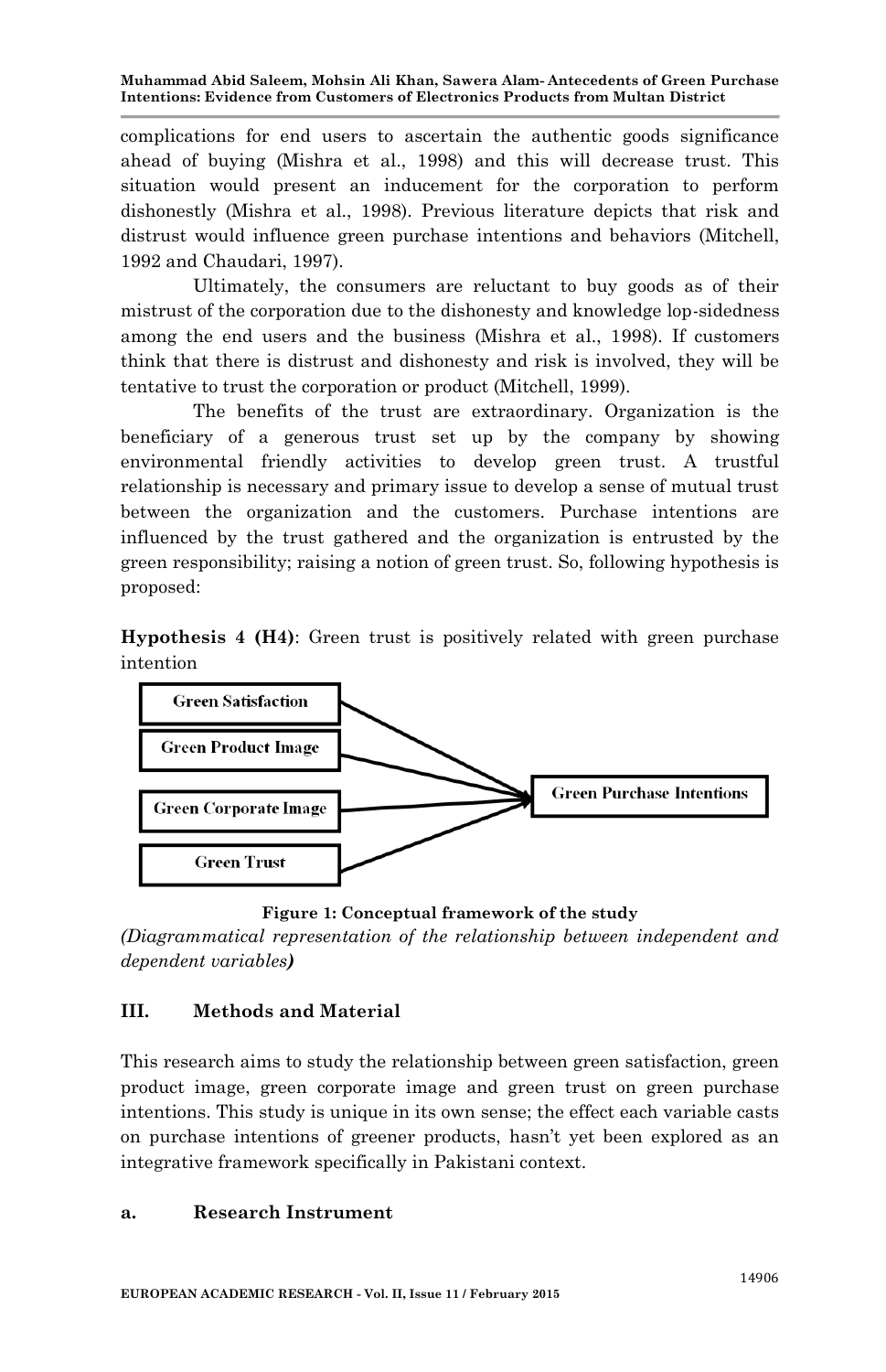complications for end users to ascertain the authentic goods significance ahead of buying (Mishra et al., 1998) and this will decrease trust. This situation would present an inducement for the corporation to perform dishonestly (Mishra et al., 1998). Previous literature depicts that risk and distrust would influence green purchase intentions and behaviors (Mitchell, 1992 and Chaudari, 1997).

Ultimately, the consumers are reluctant to buy goods as of their mistrust of the corporation due to the dishonesty and knowledge lop-sidedness among the end users and the business (Mishra et al., 1998). If customers think that there is distrust and dishonesty and risk is involved, they will be tentative to trust the corporation or product (Mitchell, 1999).

The benefits of the trust are extraordinary. Organization is the beneficiary of a generous trust set up by the company by showing environmental friendly activities to develop green trust. A trustful relationship is necessary and primary issue to develop a sense of mutual trust between the organization and the customers. Purchase intentions are influenced by the trust gathered and the organization is entrusted by the green responsibility; raising a notion of green trust. So, following hypothesis is proposed:

**Hypothesis 4 (H4)**: Green trust is positively related with green purchase intention



**Figure 1: Conceptual framework of the study**

*(Diagrammatical representation of the relationship between independent and dependent variables)*

# **III. Methods and Material**

This research aims to study the relationship between green satisfaction, green product image, green corporate image and green trust on green purchase intentions. This study is unique in its own sense; the effect each variable casts on purchase intentions of greener products, hasn"t yet been explored as an integrative framework specifically in Pakistani context.

## **a. Research Instrument**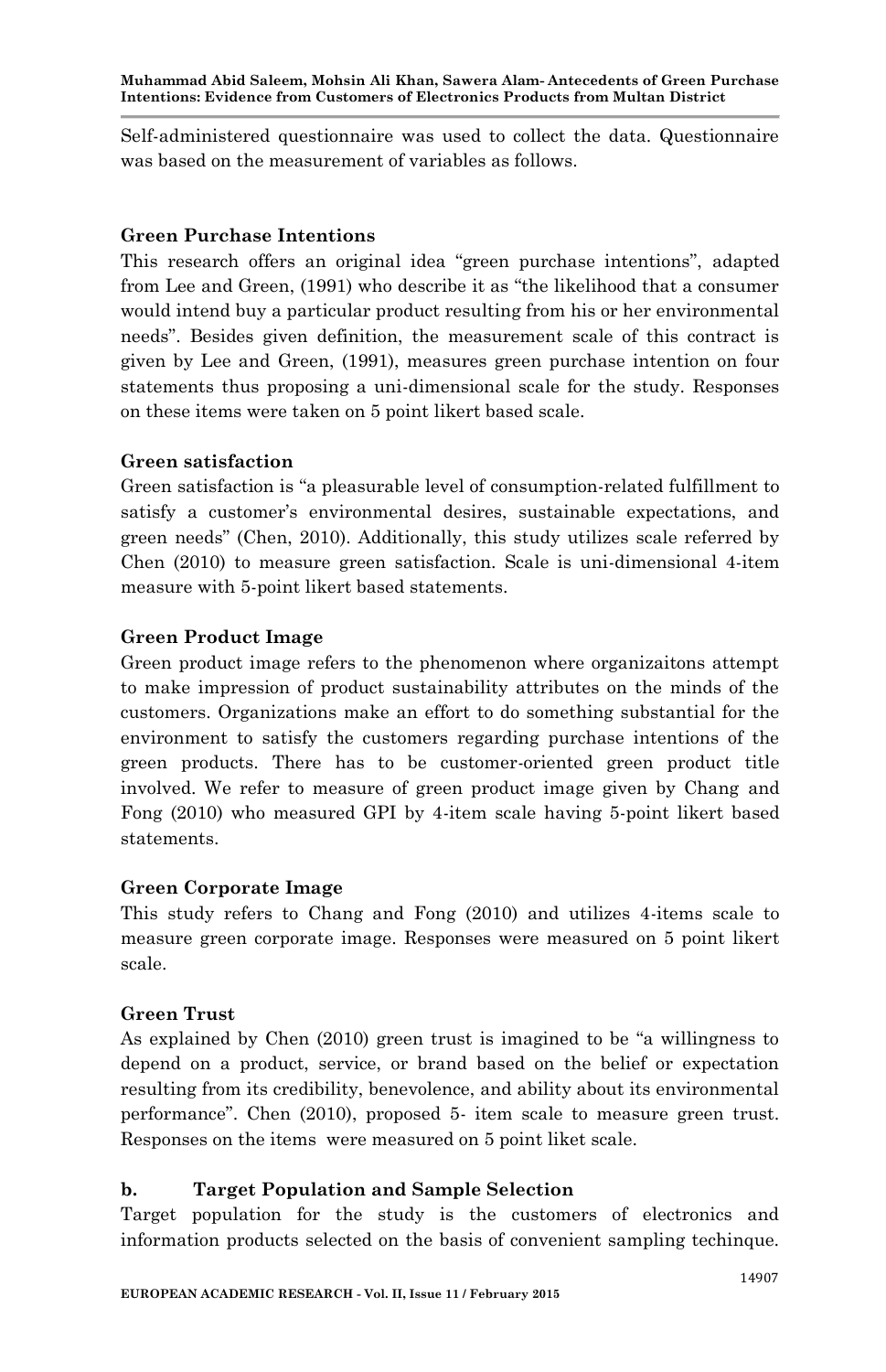Self-administered questionnaire was used to collect the data. Questionnaire was based on the measurement of variables as follows.

## **Green Purchase Intentions**

This research offers an original idea "green purchase intentions", adapted from Lee and Green, (1991) who describe it as "the likelihood that a consumer would intend buy a particular product resulting from his or her environmental needs". Besides given definition, the measurement scale of this contract is given by Lee and Green, (1991), measures green purchase intention on four statements thus proposing a uni-dimensional scale for the study. Responses on these items were taken on 5 point likert based scale.

## **Green satisfaction**

Green satisfaction is "a pleasurable level of consumption-related fulfillment to satisfy a customer's environmental desires, sustainable expectations, and green needs" (Chen, 2010). Additionally, this study utilizes scale referred by Chen (2010) to measure green satisfaction. Scale is uni-dimensional 4-item measure with 5-point likert based statements.

## **Green Product Image**

Green product image refers to the phenomenon where organizaitons attempt to make impression of product sustainability attributes on the minds of the customers. Organizations make an effort to do something substantial for the environment to satisfy the customers regarding purchase intentions of the green products. There has to be customer-oriented green product title involved. We refer to measure of green product image given by Chang and Fong (2010) who measured GPI by 4-item scale having 5-point likert based statements.

## **Green Corporate Image**

This study refers to Chang and Fong (2010) and utilizes 4-items scale to measure green corporate image. Responses were measured on 5 point likert scale.

## **Green Trust**

As explained by Chen (2010) green trust is imagined to be "a willingness to depend on a product, service, or brand based on the belief or expectation resulting from its credibility, benevolence, and ability about its environmental performance". Chen (2010), proposed 5- item scale to measure green trust. Responses on the items were measured on 5 point liket scale.

## **b. Target Population and Sample Selection**

Target population for the study is the customers of electronics and information products selected on the basis of convenient sampling techinque.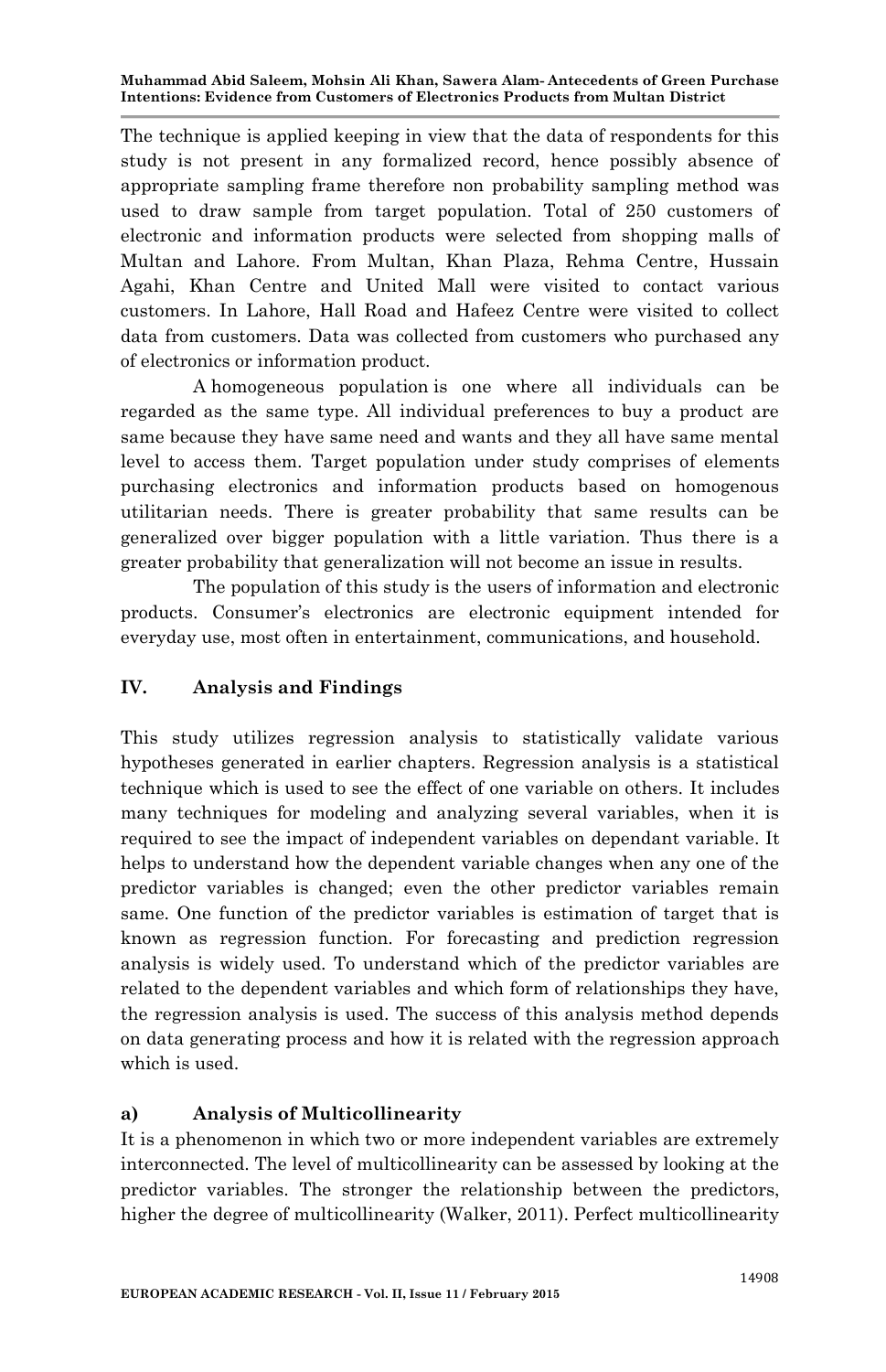The technique is applied keeping in view that the data of respondents for this study is not present in any formalized record, hence possibly absence of appropriate sampling frame therefore non probability sampling method was used to draw sample from target population. Total of 250 customers of electronic and information products were selected from shopping malls of Multan and Lahore. From Multan, Khan Plaza, Rehma Centre, Hussain Agahi, Khan Centre and United Mall were visited to contact various customers. In Lahore, Hall Road and Hafeez Centre were visited to collect data from customers. Data was collected from customers who purchased any of electronics or information product.

A homogeneous population is one where all individuals can be regarded as the same type. All individual preferences to buy a product are same because they have same need and wants and they all have same mental level to access them. Target population under study comprises of elements purchasing electronics and information products based on homogenous utilitarian needs. There is greater probability that same results can be generalized over bigger population with a little variation. Thus there is a greater probability that generalization will not become an issue in results.

The population of this study is the users of information and electronic products. Consumer"s electronics are electronic equipment intended for everyday use, most often in entertainment, communications, and household.

# **IV. Analysis and Findings**

This study utilizes regression analysis to statistically validate various hypotheses generated in earlier chapters. Regression analysis is a statistical technique which is used to see the effect of one variable on others. It includes many techniques for modeling and analyzing several variables, when it is required to see the impact of independent variables on dependant variable. It helps to understand how the dependent variable changes when any one of the predictor variables is changed; even the other predictor variables remain same. One function of the predictor variables is estimation of target that is known as regression function. For forecasting and prediction regression analysis is widely used. To understand which of the predictor variables are related to the dependent variables and which form of relationships they have, the regression analysis is used. The success of this analysis method depends on data generating process and how it is related with the regression approach which is used.

# **a) Analysis of Multicollinearity**

It is a phenomenon in which two or more independent variables are extremely interconnected. The level of multicollinearity can be assessed by looking at the predictor variables. The stronger the relationship between the predictors, higher the degree of multicollinearity (Walker, 2011). Perfect multicollinearity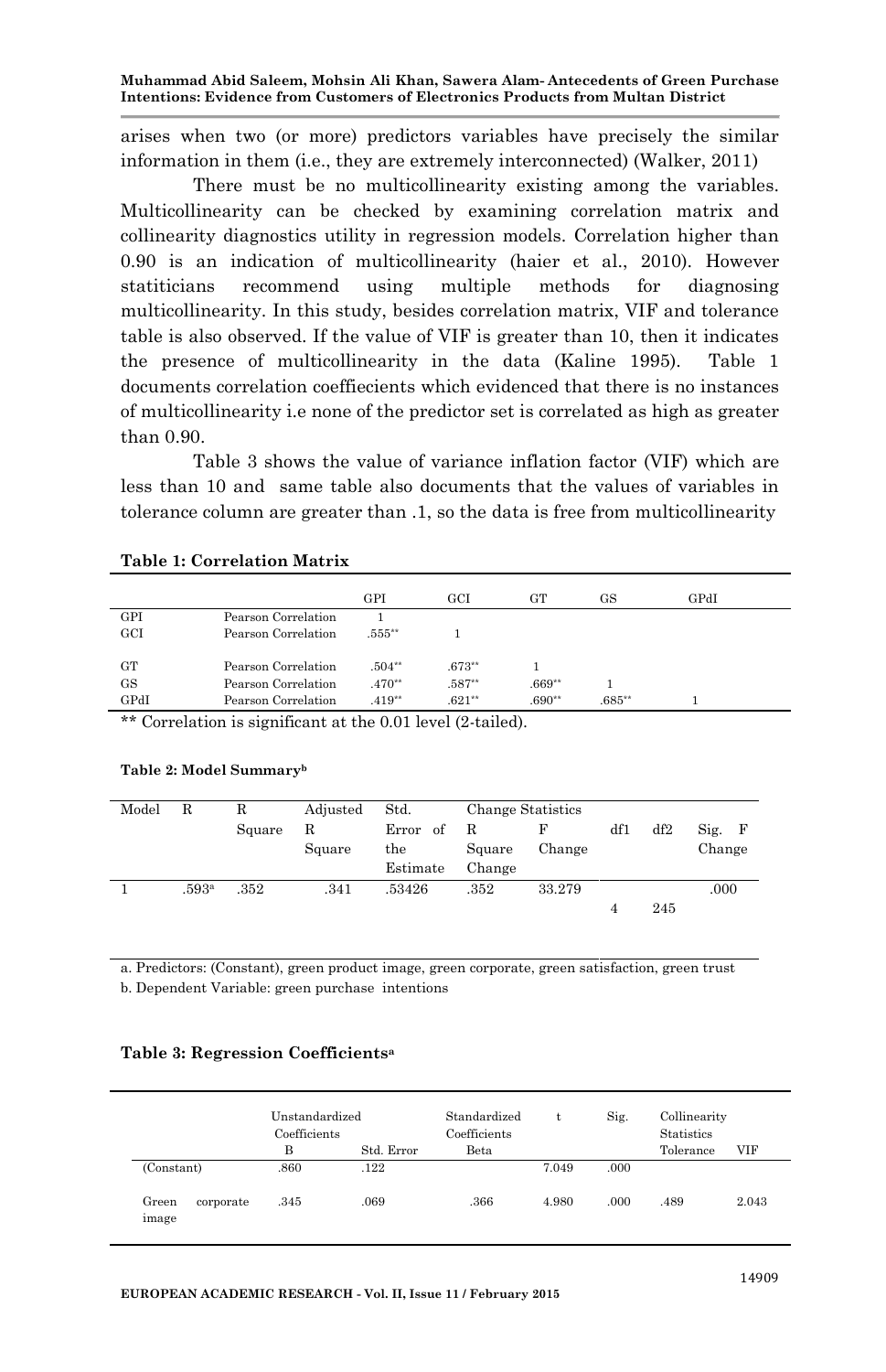arises when two (or more) predictors variables have precisely the similar information in them (i.e., they are extremely interconnected) (Walker, 2011)

There must be no multicollinearity existing among the variables. Multicollinearity can be checked by examining correlation matrix and collinearity diagnostics utility in regression models. Correlation higher than 0.90 is an indication of multicollinearity (haier et al., 2010). However statiticians recommend using multiple methods for diagnosing multicollinearity. In this study, besides correlation matrix, VIF and tolerance table is also observed. If the value of VIF is greater than 10, then it indicates the presence of multicollinearity in the data (Kaline 1995). Table 1 documents correlation coeffiecients which evidenced that there is no instances of multicollinearity i.e none of the predictor set is correlated as high as greater than 0.90.

Table 3 shows the value of variance inflation factor (VIF) which are less than 10 and same table also documents that the values of variables in tolerance column are greater than .1, so the data is free from multicollinearity

|                          |                                     | GPI      | GCI            | GT       | GS.      | GPdI |  |
|--------------------------|-------------------------------------|----------|----------------|----------|----------|------|--|
| GPI                      | Pearson Correlation                 |          |                |          |          |      |  |
| GCI                      | Pearson Correlation                 | .555**   |                |          |          |      |  |
|                          |                                     |          |                |          |          |      |  |
| GТ                       | Pearson Correlation                 | $.504**$ | $.673**$       |          |          |      |  |
| GS                       | Pearson Correlation                 | $.470**$ | $.587**$       | $.669**$ |          |      |  |
| GPdI                     | Pearson Correlation                 | $.419**$ | $.621***$      | $.690**$ | $.685**$ |      |  |
| $1.111$ $\sim$<br>$\sim$ | $\sim$ $\alpha$<br>$\sim$<br>$\sim$ |          | $1.72 \pm 1.1$ |          |          |      |  |

#### **Table 1: Correlation Matrix**

\*\* Correlation is significant at the 0.01 level (2-tailed).

#### **Table 2: Model Summary<sup>b</sup>**

| Model | $_{\rm R}$ |        | Adjusted | Std.          |        | <b>Change Statistics</b> |     |     |        |
|-------|------------|--------|----------|---------------|--------|--------------------------|-----|-----|--------|
|       |            | Square | R        | Error<br>- of | R      |                          | df1 | df2 | Sig. F |
|       |            |        | Square   | the           | Square | Change                   |     |     | Change |
|       |            |        |          | Estimate      | Change |                          |     |     |        |
|       | .593ª      | .352   | .341     | .53426        | .352   | 33.279                   |     |     | .000   |
|       |            |        |          |               |        |                          |     | 245 |        |

a. Predictors: (Constant), green product image, green corporate, green satisfaction, green trust

b. Dependent Variable: green purchase intentions

#### **Table 3: Regression Coefficients<sup>a</sup>**

|                             | Unstandardized<br>Coefficients |            | Standardized<br>Coefficients |       | Sig. | Collinearity<br><b>Statistics</b> |       |  |
|-----------------------------|--------------------------------|------------|------------------------------|-------|------|-----------------------------------|-------|--|
|                             | B                              | Std. Error | Beta                         |       |      | Tolerance                         | VIF   |  |
| (Constant)                  | .860                           | .122       |                              | 7.049 | .000 |                                   |       |  |
| Green<br>corporate<br>image | .345                           | .069       | .366                         | 4.980 | .000 | .489                              | 2.043 |  |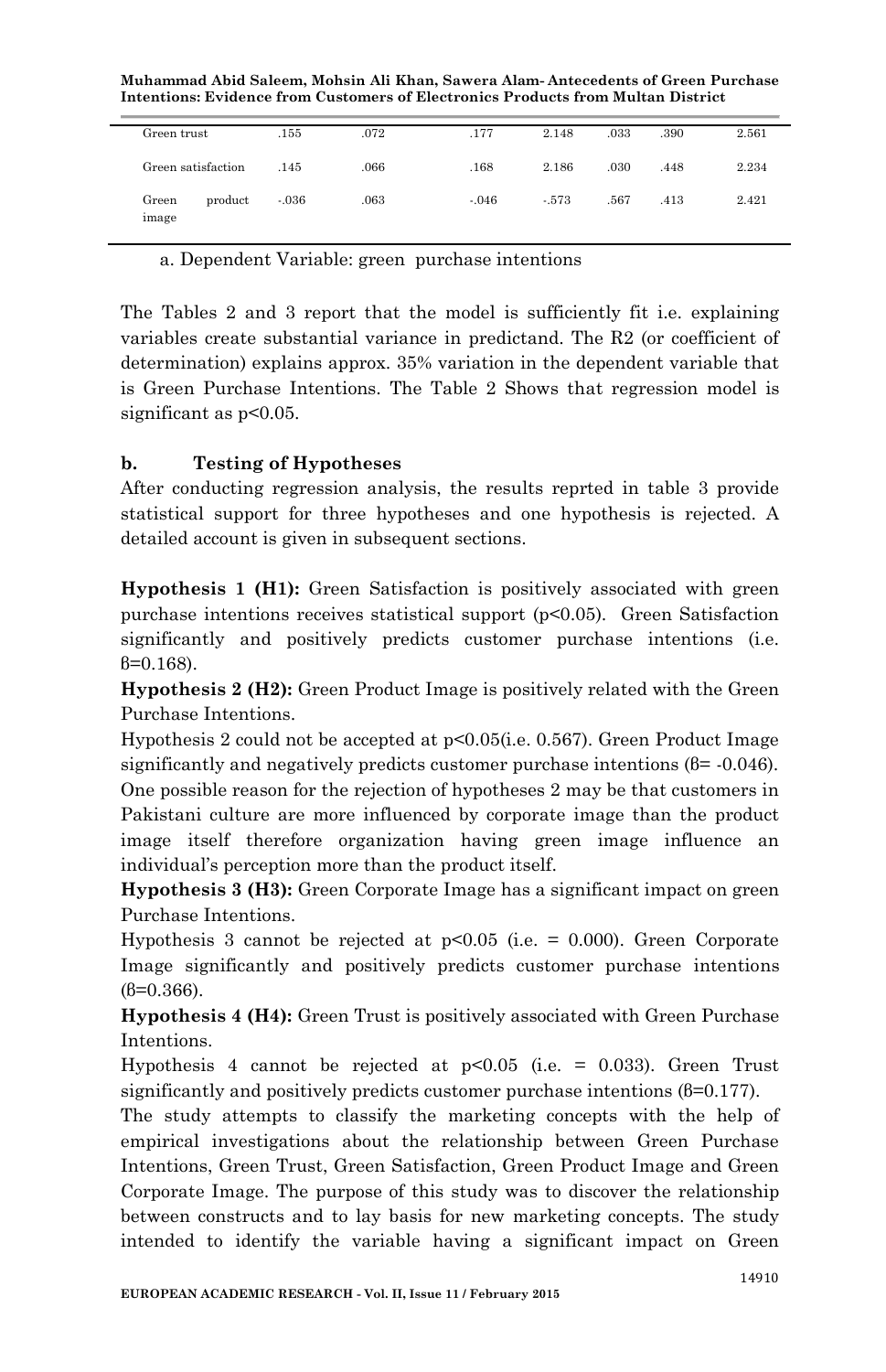**Muhammad Abid Saleem, Mohsin Ali Khan, Sawera Alam- Antecedents of Green Purchase Intentions: Evidence from Customers of Electronics Products from Multan District**

| Green trust    |                    | .155    | .072 | .177    | 2.148   | .033 | .390 | 2.561 |
|----------------|--------------------|---------|------|---------|---------|------|------|-------|
|                | Green satisfaction | .145    | .066 | .168    | 2.186   | .030 | .448 | 2.234 |
| Green<br>image | product            | $-.036$ | .063 | $-.046$ | $-.573$ | .567 | .413 | 2.421 |

a. Dependent Variable: green purchase intentions

The Tables 2 and 3 report that the model is sufficiently fit i.e. explaining variables create substantial variance in predictand. The R2 (or coefficient of determination) explains approx. 35% variation in the dependent variable that is Green Purchase Intentions. The Table 2 Shows that regression model is significant as  $p<0.05$ .

# **b. Testing of Hypotheses**

After conducting regression analysis, the results reprted in table 3 provide statistical support for three hypotheses and one hypothesis is rejected. A detailed account is given in subsequent sections.

**Hypothesis 1 (H1):** Green Satisfaction is positively associated with green purchase intentions receives statistical support  $(p<0.05)$ . Green Satisfaction significantly and positively predicts customer purchase intentions (i.e. β=0.168).

**Hypothesis 2 (H2):** Green Product Image is positively related with the Green Purchase Intentions.

Hypothesis 2 could not be accepted at p<0.05(i.e. 0.567). Green Product Image significantly and negatively predicts customer purchase intentions (β= -0.046). One possible reason for the rejection of hypotheses 2 may be that customers in Pakistani culture are more influenced by corporate image than the product image itself therefore organization having green image influence an individual"s perception more than the product itself.

**Hypothesis 3 (H3):** Green Corporate Image has a significant impact on green Purchase Intentions.

Hypothesis 3 cannot be rejected at  $p<0.05$  (i.e. = 0.000). Green Corporate Image significantly and positively predicts customer purchase intentions  $(8=0.366)$ .

**Hypothesis 4 (H4):** Green Trust is positively associated with Green Purchase Intentions.

Hypothesis 4 cannot be rejected at  $p<0.05$  (i.e. = 0.033). Green Trust significantly and positively predicts customer purchase intentions (β=0.177).

The study attempts to classify the marketing concepts with the help of empirical investigations about the relationship between Green Purchase Intentions, Green Trust, Green Satisfaction, Green Product Image and Green Corporate Image. The purpose of this study was to discover the relationship between constructs and to lay basis for new marketing concepts. The study intended to identify the variable having a significant impact on Green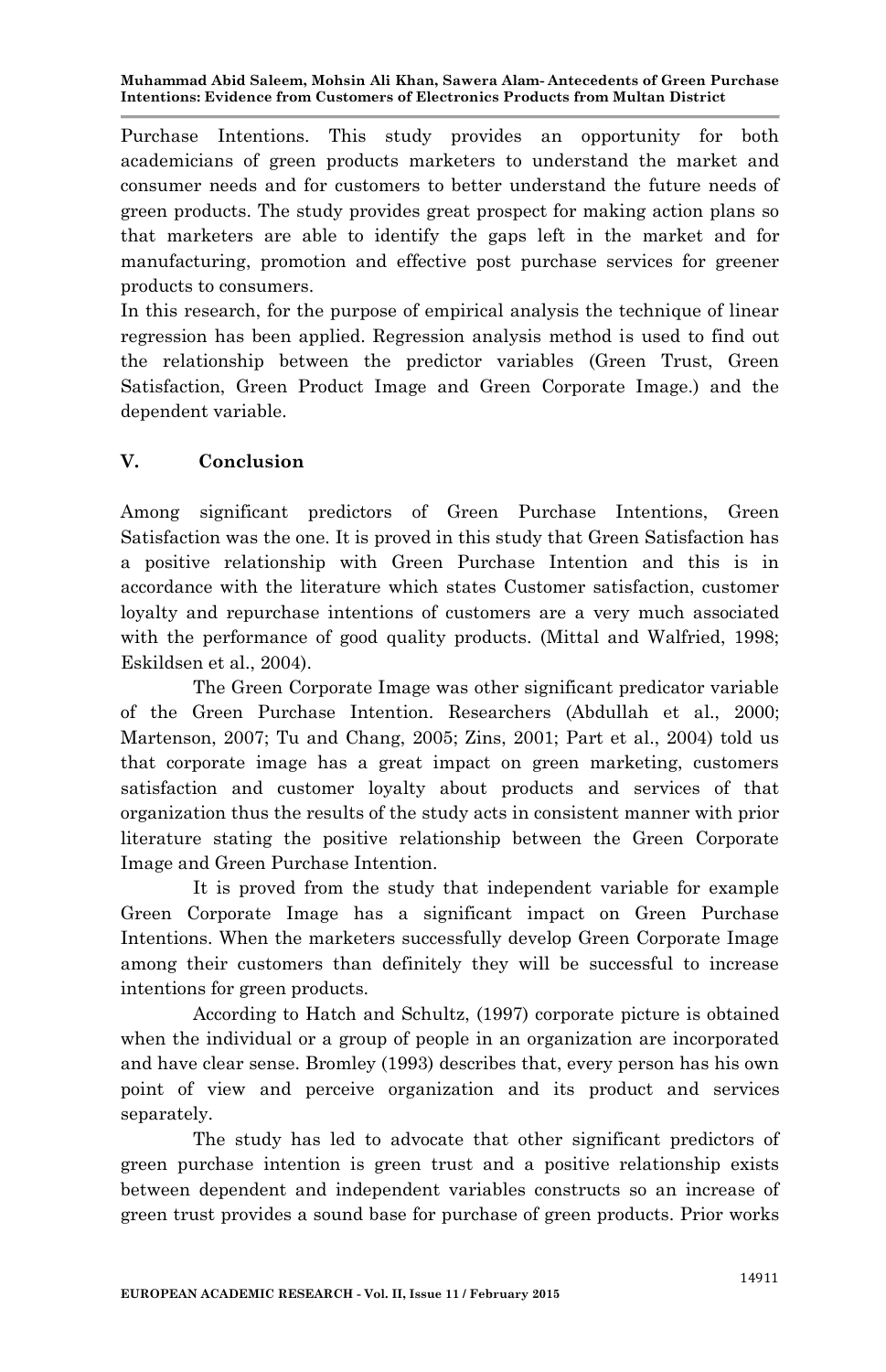Purchase Intentions. This study provides an opportunity for both academicians of green products marketers to understand the market and consumer needs and for customers to better understand the future needs of green products. The study provides great prospect for making action plans so that marketers are able to identify the gaps left in the market and for manufacturing, promotion and effective post purchase services for greener products to consumers.

In this research, for the purpose of empirical analysis the technique of linear regression has been applied. Regression analysis method is used to find out the relationship between the predictor variables (Green Trust, Green Satisfaction, Green Product Image and Green Corporate Image.) and the dependent variable.

## **V. Conclusion**

Among significant predictors of Green Purchase Intentions, Green Satisfaction was the one. It is proved in this study that Green Satisfaction has a positive relationship with Green Purchase Intention and this is in accordance with the literature which states Customer satisfaction, customer loyalty and repurchase intentions of customers are a very much associated with the performance of good quality products. (Mittal and Walfried, 1998; Eskildsen et al., 2004).

The Green Corporate Image was other significant predicator variable of the Green Purchase Intention. Researchers (Abdullah et al., 2000; Martenson, 2007; Tu and Chang, 2005; Zins, 2001; Part et al., 2004) told us that corporate image has a great impact on green marketing, customers satisfaction and customer loyalty about products and services of that organization thus the results of the study acts in consistent manner with prior literature stating the positive relationship between the Green Corporate Image and Green Purchase Intention.

It is proved from the study that independent variable for example Green Corporate Image has a significant impact on Green Purchase Intentions. When the marketers successfully develop Green Corporate Image among their customers than definitely they will be successful to increase intentions for green products.

According to Hatch and Schultz, (1997) corporate picture is obtained when the individual or a group of people in an organization are incorporated and have clear sense. Bromley (1993) describes that, every person has his own point of view and perceive organization and its product and services separately.

The study has led to advocate that other significant predictors of green purchase intention is green trust and a positive relationship exists between dependent and independent variables constructs so an increase of green trust provides a sound base for purchase of green products. Prior works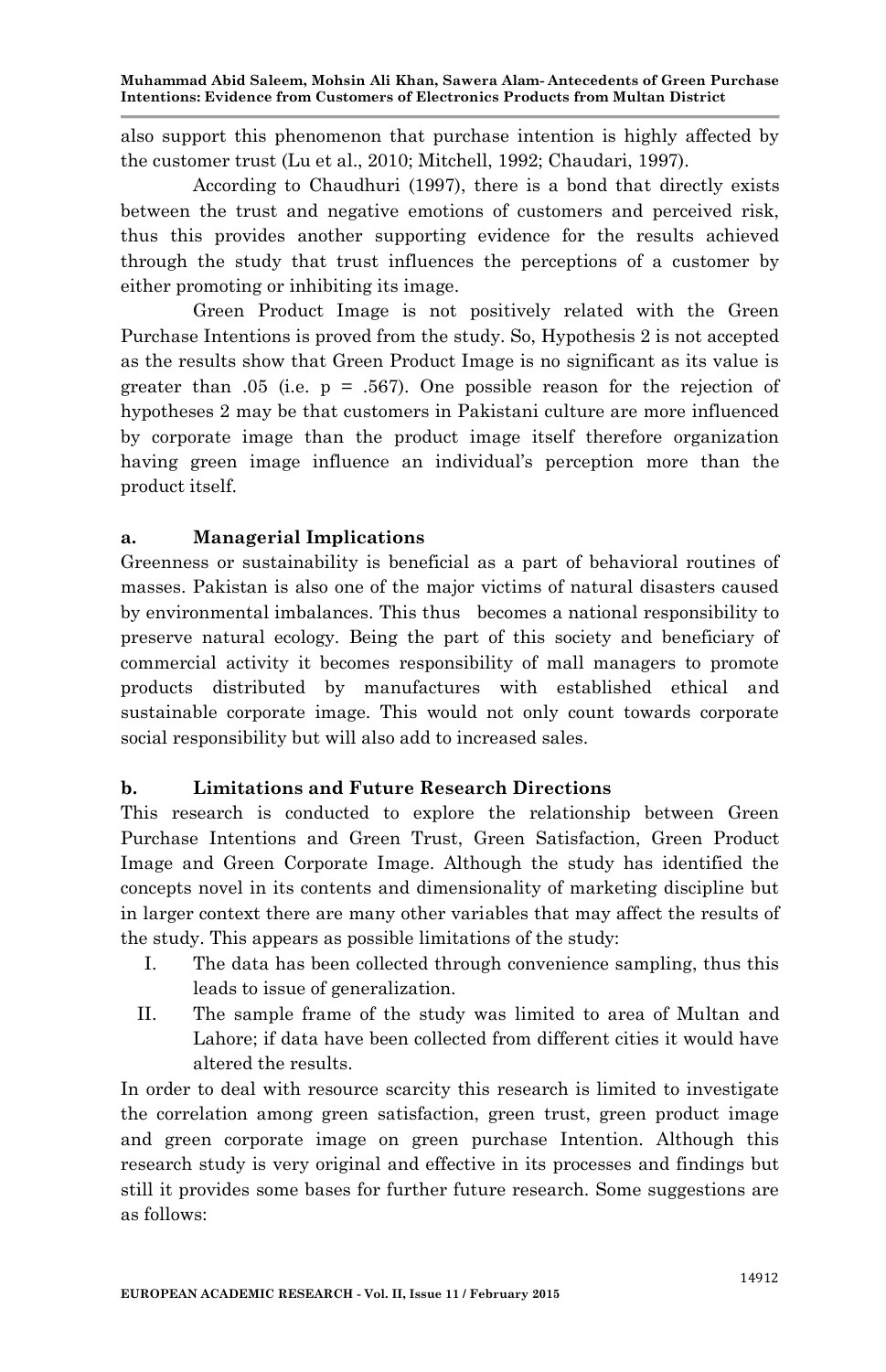also support this phenomenon that purchase intention is highly affected by the customer trust (Lu et al., 2010; Mitchell, 1992; Chaudari, 1997).

According to Chaudhuri (1997), there is a bond that directly exists between the trust and negative emotions of customers and perceived risk, thus this provides another supporting evidence for the results achieved through the study that trust influences the perceptions of a customer by either promoting or inhibiting its image.

Green Product Image is not positively related with the Green Purchase Intentions is proved from the study. So, Hypothesis 2 is not accepted as the results show that Green Product Image is no significant as its value is greater than .05 (i.e.  $p = .567$ ). One possible reason for the rejection of hypotheses 2 may be that customers in Pakistani culture are more influenced by corporate image than the product image itself therefore organization having green image influence an individual's perception more than the product itself.

#### **a. Managerial Implications**

Greenness or sustainability is beneficial as a part of behavioral routines of masses. Pakistan is also one of the major victims of natural disasters caused by environmental imbalances. This thus becomes a national responsibility to preserve natural ecology. Being the part of this society and beneficiary of commercial activity it becomes responsibility of mall managers to promote products distributed by manufactures with established ethical and sustainable corporate image. This would not only count towards corporate social responsibility but will also add to increased sales.

#### **b. Limitations and Future Research Directions**

This research is conducted to explore the relationship between Green Purchase Intentions and Green Trust, Green Satisfaction, Green Product Image and Green Corporate Image. Although the study has identified the concepts novel in its contents and dimensionality of marketing discipline but in larger context there are many other variables that may affect the results of the study. This appears as possible limitations of the study:

- I. The data has been collected through convenience sampling, thus this leads to issue of generalization.
- II. The sample frame of the study was limited to area of Multan and Lahore; if data have been collected from different cities it would have altered the results.

In order to deal with resource scarcity this research is limited to investigate the correlation among green satisfaction, green trust, green product image and green corporate image on green purchase Intention. Although this research study is very original and effective in its processes and findings but still it provides some bases for further future research. Some suggestions are as follows: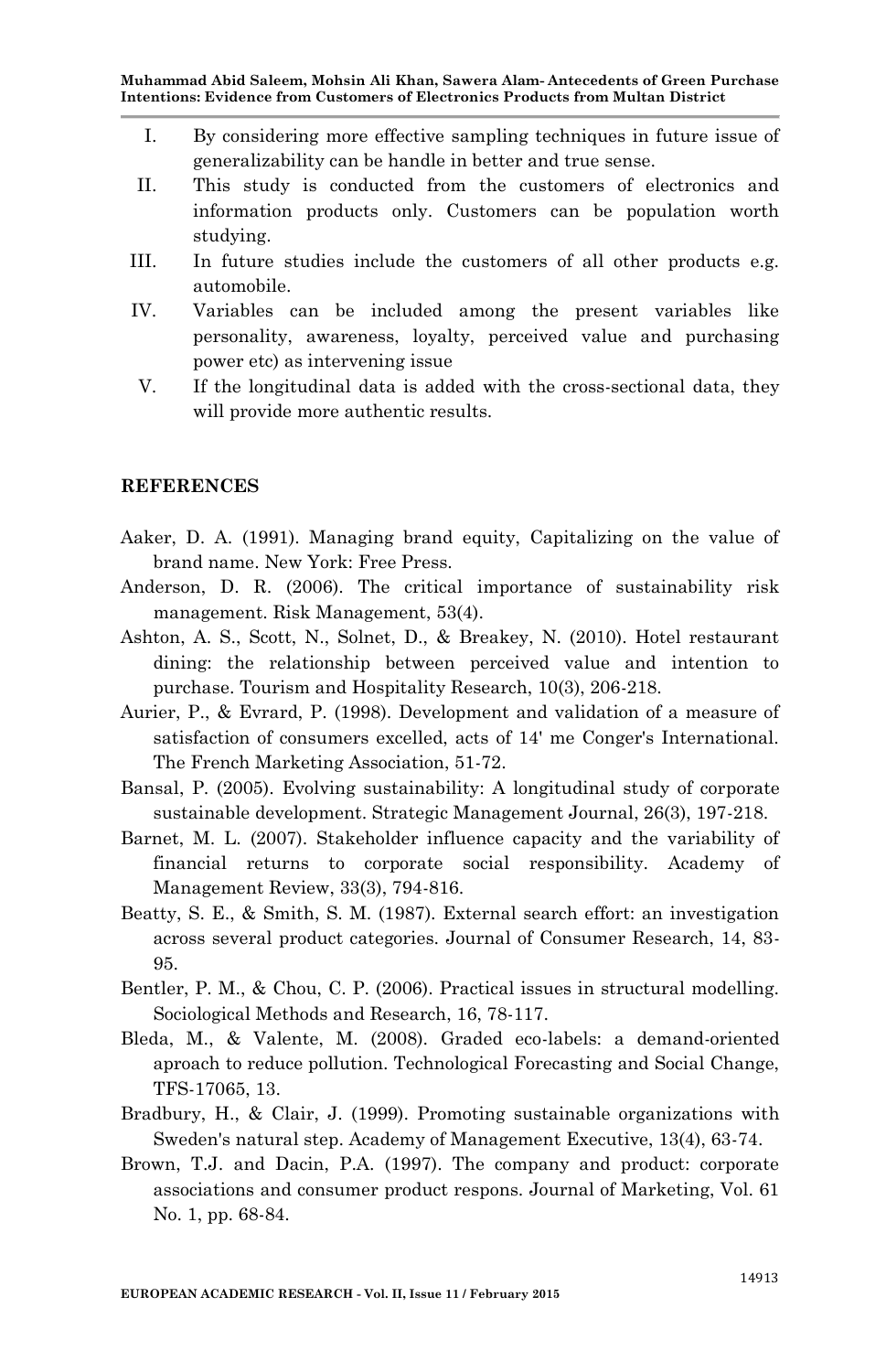- I. By considering more effective sampling techniques in future issue of generalizability can be handle in better and true sense.
- II. This study is conducted from the customers of electronics and information products only. Customers can be population worth studying.
- III. In future studies include the customers of all other products e.g. automobile.
- IV. Variables can be included among the present variables like personality, awareness, loyalty, perceived value and purchasing power etc) as intervening issue
- V. If the longitudinal data is added with the cross-sectional data, they will provide more authentic results.

#### **REFERENCES**

- Aaker, D. A. (1991). Managing brand equity, Capitalizing on the value of brand name. New York: Free Press.
- Anderson, D. R. (2006). The critical importance of sustainability risk management. Risk Management, 53(4).
- Ashton, A. S., Scott, N., Solnet, D., & Breakey, N. (2010). Hotel restaurant dining: the relationship between perceived value and intention to purchase. Tourism and Hospitality Research, 10(3), 206-218.
- Aurier, P., & Evrard, P. (1998). Development and validation of a measure of satisfaction of consumers excelled, acts of 14' me Conger's International. The French Marketing Association, 51-72.
- Bansal, P. (2005). Evolving sustainability: A longitudinal study of corporate sustainable development. Strategic Management Journal, 26(3), 197-218.
- Barnet, M. L. (2007). Stakeholder influence capacity and the variability of financial returns to corporate social responsibility. Academy of Management Review, 33(3), 794-816.
- Beatty, S. E., & Smith, S. M. (1987). External search effort: an investigation across several product categories. Journal of Consumer Research, 14, 83- 95.
- Bentler, P. M., & Chou, C. P. (2006). Practical issues in structural modelling. Sociological Methods and Research, 16, 78-117.
- Bleda, M., & Valente, M. (2008). Graded eco-labels: a demand-oriented aproach to reduce pollution. Technological Forecasting and Social Change, TFS-17065, 13.
- Bradbury, H., & Clair, J. (1999). Promoting sustainable organizations with Sweden's natural step. Academy of Management Executive, 13(4), 63-74.
- Brown, T.J. and Dacin, P.A. (1997). The company and product: corporate associations and consumer product respons. Journal of Marketing, Vol. 61 No. 1, pp. 68-84.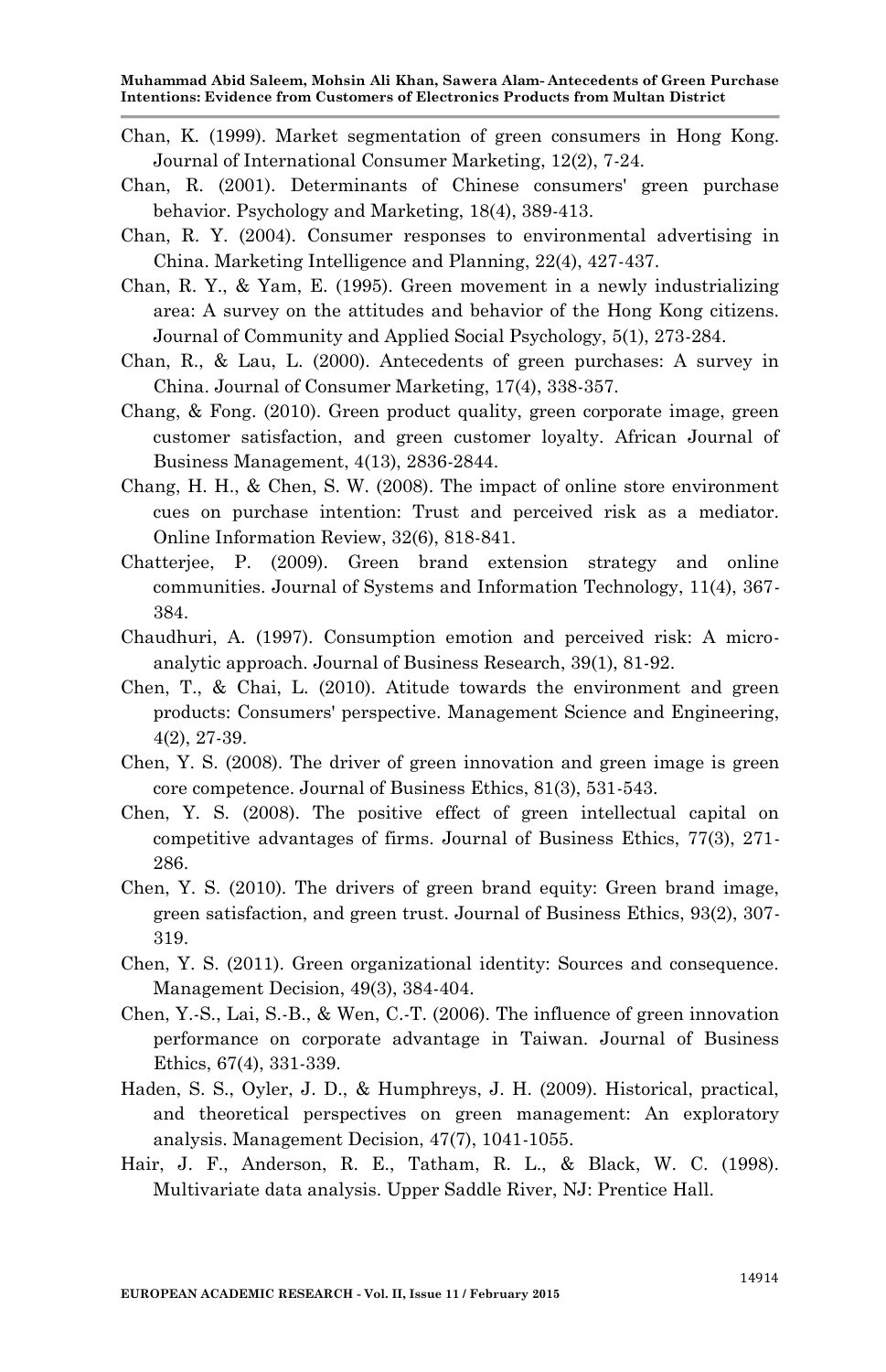- Chan, K. (1999). Market segmentation of green consumers in Hong Kong. Journal of International Consumer Marketing, 12(2), 7-24.
- Chan, R. (2001). Determinants of Chinese consumers' green purchase behavior. Psychology and Marketing, 18(4), 389-413.
- Chan, R. Y. (2004). Consumer responses to environmental advertising in China. Marketing Intelligence and Planning, 22(4), 427-437.
- Chan, R. Y., & Yam, E. (1995). Green movement in a newly industrializing area: A survey on the attitudes and behavior of the Hong Kong citizens. Journal of Community and Applied Social Psychology, 5(1), 273-284.
- Chan, R., & Lau, L. (2000). Antecedents of green purchases: A survey in China. Journal of Consumer Marketing, 17(4), 338-357.
- Chang, & Fong. (2010). Green product quality, green corporate image, green customer satisfaction, and green customer loyalty. African Journal of Business Management, 4(13), 2836-2844.
- Chang, H. H., & Chen, S. W. (2008). The impact of online store environment cues on purchase intention: Trust and perceived risk as a mediator. Online Information Review, 32(6), 818-841.
- Chatterjee, P. (2009). Green brand extension strategy and online communities. Journal of Systems and Information Technology, 11(4), 367- 384.
- Chaudhuri, A. (1997). Consumption emotion and perceived risk: A microanalytic approach. Journal of Business Research, 39(1), 81-92.
- Chen, T., & Chai, L. (2010). Atitude towards the environment and green products: Consumers' perspective. Management Science and Engineering, 4(2), 27-39.
- Chen, Y. S. (2008). The driver of green innovation and green image is green core competence. Journal of Business Ethics, 81(3), 531-543.
- Chen, Y. S. (2008). The positive effect of green intellectual capital on competitive advantages of firms. Journal of Business Ethics, 77(3), 271- 286.
- Chen, Y. S. (2010). The drivers of green brand equity: Green brand image, green satisfaction, and green trust. Journal of Business Ethics, 93(2), 307- 319.
- Chen, Y. S. (2011). Green organizational identity: Sources and consequence. Management Decision, 49(3), 384-404.
- Chen, Y.-S., Lai, S.-B., & Wen, C.-T. (2006). The influence of green innovation performance on corporate advantage in Taiwan. Journal of Business Ethics, 67(4), 331-339.
- Haden, S. S., Oyler, J. D., & Humphreys, J. H. (2009). Historical, practical, and theoretical perspectives on green management: An exploratory analysis. Management Decision, 47(7), 1041-1055.
- Hair, J. F., Anderson, R. E., Tatham, R. L., & Black, W. C. (1998). Multivariate data analysis. Upper Saddle River, NJ: Prentice Hall.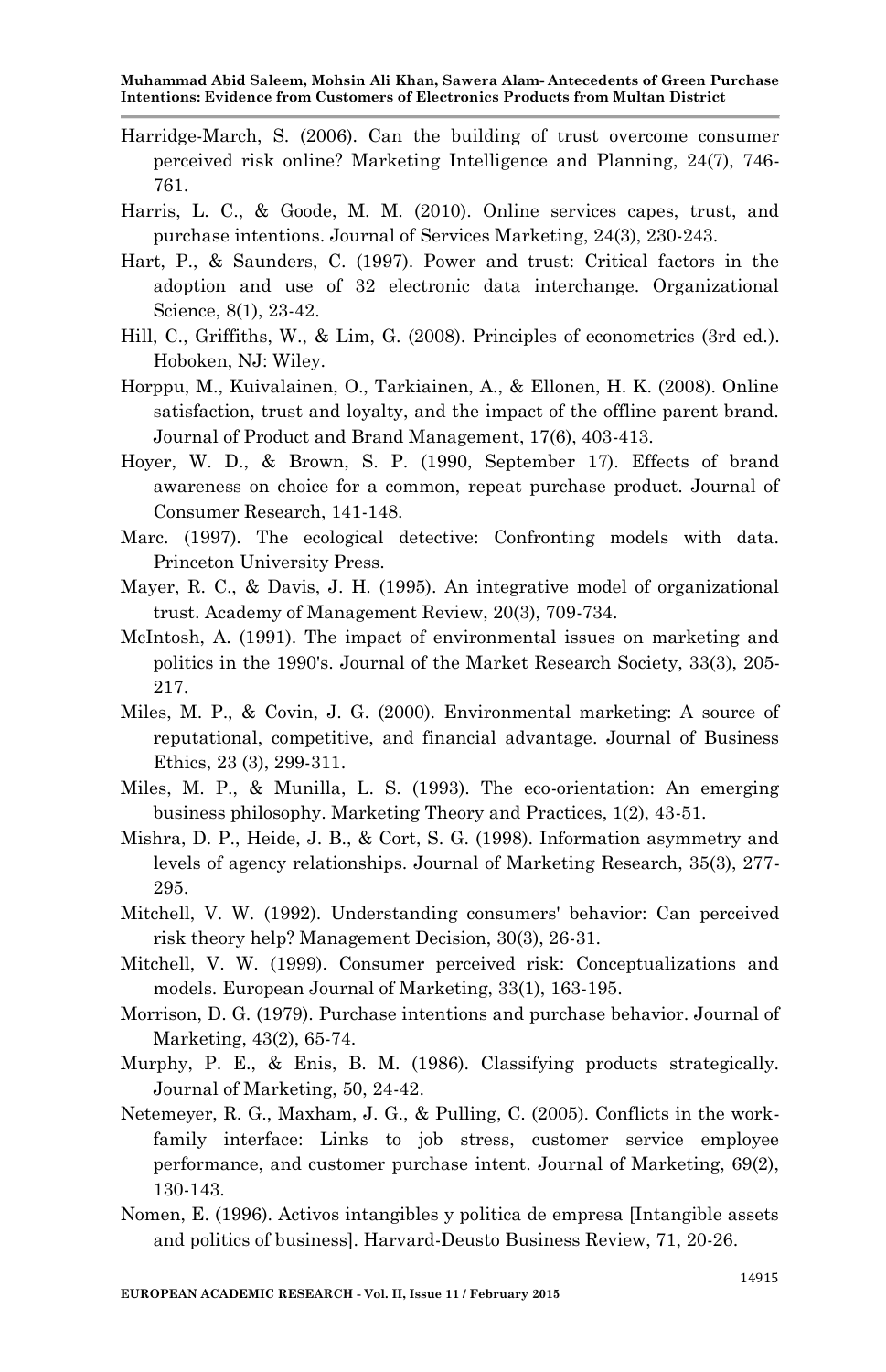- Harridge-March, S. (2006). Can the building of trust overcome consumer perceived risk online? Marketing Intelligence and Planning, 24(7), 746- 761.
- Harris, L. C., & Goode, M. M. (2010). Online services capes, trust, and purchase intentions. Journal of Services Marketing, 24(3), 230-243.
- Hart, P., & Saunders, C. (1997). Power and trust: Critical factors in the adoption and use of 32 electronic data interchange. Organizational Science, 8(1), 23-42.
- Hill, C., Griffiths, W., & Lim, G. (2008). Principles of econometrics (3rd ed.). Hoboken, NJ: Wiley.
- Horppu, M., Kuivalainen, O., Tarkiainen, A., & Ellonen, H. K. (2008). Online satisfaction, trust and loyalty, and the impact of the offline parent brand. Journal of Product and Brand Management, 17(6), 403-413.
- Hoyer, W. D., & Brown, S. P. (1990, September 17). Effects of brand awareness on choice for a common, repeat purchase product. Journal of Consumer Research, 141-148.
- Marc. (1997). The ecological detective: Confronting models with data. Princeton University Press.
- Mayer, R. C., & Davis, J. H. (1995). An integrative model of organizational trust. Academy of Management Review, 20(3), 709-734.
- McIntosh, A. (1991). The impact of environmental issues on marketing and politics in the 1990's. Journal of the Market Research Society, 33(3), 205- 217.
- Miles, M. P., & Covin, J. G. (2000). Environmental marketing: A source of reputational, competitive, and financial advantage. Journal of Business Ethics, 23 (3), 299-311.
- Miles, M. P., & Munilla, L. S. (1993). The eco-orientation: An emerging business philosophy. Marketing Theory and Practices, 1(2), 43-51.
- Mishra, D. P., Heide, J. B., & Cort, S. G. (1998). Information asymmetry and levels of agency relationships. Journal of Marketing Research, 35(3), 277- 295.
- Mitchell, V. W. (1992). Understanding consumers' behavior: Can perceived risk theory help? Management Decision, 30(3), 26-31.
- Mitchell, V. W. (1999). Consumer perceived risk: Conceptualizations and models. European Journal of Marketing, 33(1), 163-195.
- Morrison, D. G. (1979). Purchase intentions and purchase behavior. Journal of Marketing, 43(2), 65-74.
- Murphy, P. E., & Enis, B. M. (1986). Classifying products strategically. Journal of Marketing, 50, 24-42.
- Netemeyer, R. G., Maxham, J. G., & Pulling, C. (2005). Conflicts in the workfamily interface: Links to job stress, customer service employee performance, and customer purchase intent. Journal of Marketing, 69(2), 130-143.
- Nomen, E. (1996). Activos intangibles y politica de empresa [Intangible assets and politics of business]. Harvard-Deusto Business Review, 71, 20-26.